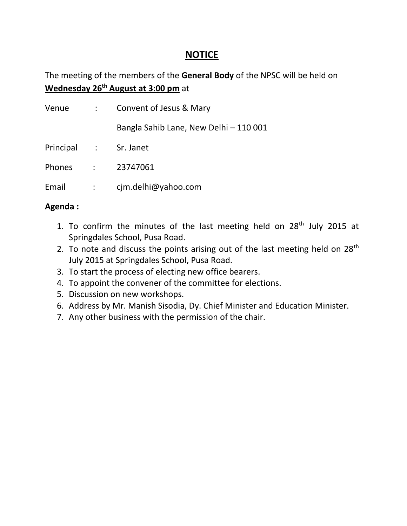### **NOTICE**

The meeting of the members of the **General Body** of the NPSC will be held on **Wednesday 26th August at 3:00 pm** at

| Venue                 |                           | Convent of Jesus & Mary                |
|-----------------------|---------------------------|----------------------------------------|
|                       |                           | Bangla Sahib Lane, New Delhi - 110 001 |
| Principal : Sr. Janet |                           |                                        |
| <b>Phones</b>         |                           | : 23747061                             |
| Email                 | $\mathbb{Z}^{\mathbb{Z}}$ | cjm.delhi@yahoo.com                    |

#### **Agenda :**

- 1. To confirm the minutes of the last meeting held on  $28<sup>th</sup>$  July 2015 at Springdales School, Pusa Road.
- 2. To note and discuss the points arising out of the last meeting held on  $28<sup>th</sup>$ July 2015 at Springdales School, Pusa Road.
- 3. To start the process of electing new office bearers.
- 4. To appoint the convener of the committee for elections.
- 5. Discussion on new workshops.
- 6. Address by Mr. Manish Sisodia, Dy. Chief Minister and Education Minister.
- 7. Any other business with the permission of the chair.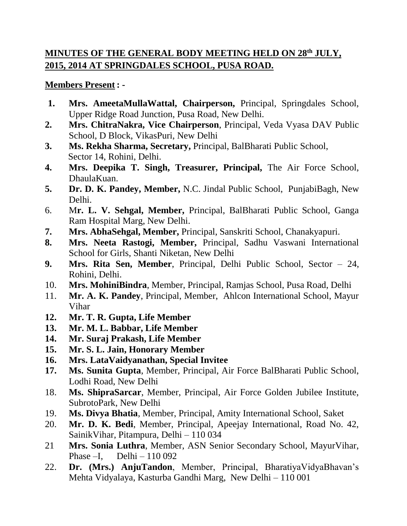# **MINUTES OF THE GENERAL BODY MEETING HELD ON 28th JULY, 2015, 2014 AT SPRINGDALES SCHOOL, PUSA ROAD.**

### **Members Present : -**

- **1. Mrs. AmeetaMullaWattal, Chairperson,** Principal, Springdales School, Upper Ridge Road Junction, Pusa Road, New Delhi.
- **2. Mrs. ChitraNakra, Vice Chairperson**, Principal, Veda Vyasa DAV Public School, D Block, VikasPuri, New Delhi
- **3. Ms. Rekha Sharma, Secretary,** Principal, BalBharati Public School, Sector 14, Rohini, Delhi.
- **4. Mrs. Deepika T. Singh, Treasurer, Principal,** The Air Force School, DhaulaKuan.
- **5. Dr. D. K. Pandey, Member,** N.C. Jindal Public School, PunjabiBagh, New Delhi.
- 6. M**r. L. V. Sehgal, Member,** Principal, BalBharati Public School, Ganga Ram Hospital Marg, New Delhi.
- **7. Mrs. AbhaSehgal, Member,** Principal, Sanskriti School, Chanakyapuri.
- **8. Mrs. Neeta Rastogi, Member,** Principal, Sadhu Vaswani International School for Girls, Shanti Niketan, New Delhi
- **9. Mrs. Rita Sen, Member**, Principal, Delhi Public School, Sector 24, Rohini, Delhi.
- 10. **Mrs. MohiniBindra**, Member, Principal, Ramjas School, Pusa Road, Delhi
- 11. **Mr. A. K. Pandey**, Principal, Member, Ahlcon International School, Mayur Vihar
- **12. Mr. T. R. Gupta, Life Member**
- **13. Mr. M. L. Babbar, Life Member**
- **14. Mr. Suraj Prakash, Life Member**
- **15. Mr. S. L. Jain, Honorary Member**
- **16. Mrs. LataVaidyanathan, Special Invitee**
- **17. Ms. Sunita Gupta**, Member, Principal, Air Force BalBharati Public School, Lodhi Road, New Delhi
- 18. **Ms. ShipraSarcar**, Member, Principal, Air Force Golden Jubilee Institute, SubrotoPark, New Delhi
- 19. **Ms. Divya Bhatia**, Member, Principal, Amity International School, Saket
- 20. **Mr. D. K. Bedi**, Member, Principal, Apeejay International, Road No. 42, SainikVihar, Pitampura, Delhi – 110 034
- 21 **Mrs. Sonia Luthra**, Member, ASN Senior Secondary School, MayurVihar, Phase –I, Delhi –  $110092$
- 22. **Dr. (Mrs.) AnjuTandon**, Member, Principal, BharatiyaVidyaBhavan's Mehta Vidyalaya, Kasturba Gandhi Marg, New Delhi – 110 001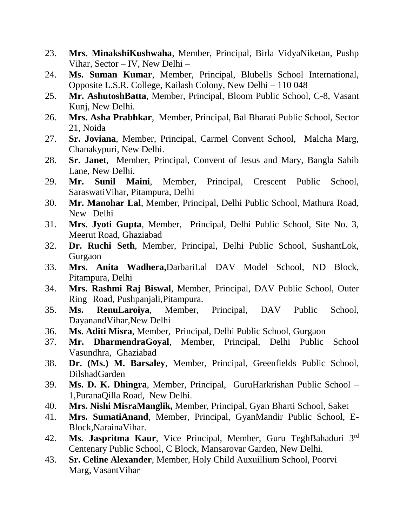- 23. **Mrs. MinakshiKushwaha**, Member, Principal, Birla VidyaNiketan, Pushp Vihar, Sector – IV, New Delhi –
- 24. **Ms. Suman Kumar**, Member, Principal, Blubells School International, Opposite L.S.R. College, Kailash Colony, New Delhi – 110 048
- 25. **Mr. AshutoshBatta**, Member, Principal, Bloom Public School, C-8, Vasant Kunj, New Delhi.
- 26. **Mrs. Asha Prabhkar**, Member, Principal, Bal Bharati Public School, Sector 21, Noida
- 27. **Sr. Joviana**, Member, Principal, Carmel Convent School, Malcha Marg, Chanakypuri, New Delhi.
- 28. **Sr. Janet**, Member, Principal, Convent of Jesus and Mary, Bangla Sahib Lane, New Delhi.
- 29. **Mr. Sunil Maini**, Member, Principal, Crescent Public School, SaraswatiVihar, Pitampura, Delhi
- 30. **Mr. Manohar Lal**, Member, Principal, Delhi Public School, Mathura Road, New Delhi
- 31. **Mrs. Jyoti Gupta**, Member, Principal, Delhi Public School, Site No. 3, Meerut Road, Ghaziabad
- 32. **Dr. Ruchi Seth**, Member, Principal, Delhi Public School, SushantLok, Gurgaon
- 33. **Mrs. Anita Wadhera,**DarbariLal DAV Model School, ND Block, Pitampura, Delhi
- 34. **Mrs. Rashmi Raj Biswal**, Member, Principal, DAV Public School, Outer Ring Road, Pushpanjali,Pitampura.
- 35. **Ms. RenuLaroiya**, Member, Principal, DAV Public School, DayanandVihar,New Delhi
- 36. **Ms. Aditi Misra**, Member, Principal, Delhi Public School, Gurgaon
- 37. **Mr. DharmendraGoyal**, Member, Principal, Delhi Public School Vasundhra, Ghaziabad
- 38. **Dr. (Ms.) M. Barsaley**, Member, Principal, Greenfields Public School, DilshadGarden
- 39. **Ms. D. K. Dhingra**, Member, Principal, GuruHarkrishan Public School 1,PuranaQilla Road, New Delhi.
- 40. **Mrs. Nishi MisraManglik,** Member, Principal, Gyan Bharti School, Saket
- 41. **Mrs. SumatiAnand**, Member, Principal, GyanMandir Public School, E-Block,NarainaVihar.
- 42. **Ms. Jaspritma Kaur**, Vice Principal, Member, Guru TeghBahaduri 3rd Centenary Public School, C Block, Mansarovar Garden, New Delhi.
- 43. **Sr. Celine Alexander**, Member, Holy Child Auxuillium School, Poorvi Marg, VasantVihar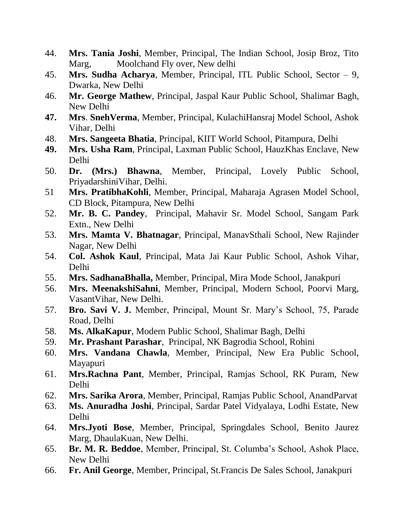- 44. **Mrs. Tania Joshi**, Member, Principal, The Indian School, Josip Broz, Tito Marg, Moolchand Fly over, New delhi
- 45. **Mrs. Sudha Acharya**, Member, Principal, ITL Public School, Sector 9, Dwarka, New Delhi
- 46. **Mr. George Mathew**, Principal, Jaspal Kaur Public School, Shalimar Bagh, New Delhi
- **47. Mrs**. **SnehVerma**, Member, Principal, KulachiHansraj Model School, Ashok Vihar, Delhi
- 48. **Mrs. Sangeeta Bhatia**, Principal, KIIT World School, Pitampura, Delhi
- **49. Mrs. Usha Ram**, Principal, Laxman Public School, HauzKhas Enclave, New Delhi
- 50. **Dr. (Mrs.) Bhawna**, Member, Principal, Lovely Public School, PriyadarshiniVihar, Delhi.
- 51 **Mrs. PratibhaKohli**, Member, Principal, Maharaja Agrasen Model School, CD Block, Pitampura, New Delhi
- 52. **Mr. B. C. Pandey**, Principal, Mahavir Sr. Model School, Sangam Park Extn., New Delhi
- 53. **Mrs. Mamta V. Bhatnagar**, Principal, ManavSthali School, New Rajinder Nagar, New Delhi
- 54. **Col. Ashok Kaul**, Principal, Mata Jai Kaur Public School, Ashok Vihar, Delhi
- 55. **Mrs. SadhanaBhalla,** Member, Principal, Mira Mode School, Janakpuri
- 56. **Mrs. MeenakshiSahni**, Member, Principal, Modern School, Poorvi Marg, VasantVihar, New Delhi.
- 57. **Bro. Savi V. J.** Member, Principal, Mount Sr. Mary's School, 75, Parade Road, Delhi
- 58. **Ms. AlkaKapur**, Modern Public School, Shalimar Bagh, Delhi
- 59. **Mr. Prashant Parashar**, Principal, NK Bagrodia School, Rohini
- 60. **Mrs. Vandana Chawla**, Member, Principal, New Era Public School, Mayapuri
- 61. **Mrs.Rachna Pant**, Member, Principal, Ramjas School, RK Puram, New Delhi
- 62. **Mrs. Sarika Arora**, Member, Principal, Ramjas Public School, AnandParvat
- 63. **Ms. Anuradha Joshi**, Principal, Sardar Patel Vidyalaya, Lodhi Estate, New Delhi
- 64. **Mrs.Jyoti Bose**, Member, Principal, Springdales School, Benito Jaurez Marg, DhaulaKuan, New Delhi.
- 65. **Br. M. R. Beddoe**, Member, Principal, St. Columba's School, Ashok Place, New Delhi
- 66. **Fr. Anil George**, Member, Principal, St.Francis De Sales School, Janakpuri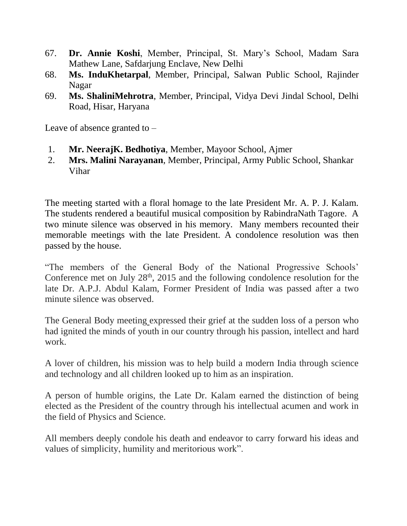- 67. **Dr. Annie Koshi**, Member, Principal, St. Mary's School, Madam Sara Mathew Lane, Safdarjung Enclave, New Delhi
- 68. **Ms. InduKhetarpal**, Member, Principal, Salwan Public School, Rajinder Nagar
- 69. **Ms. ShaliniMehrotra**, Member, Principal, Vidya Devi Jindal School, Delhi Road, Hisar, Haryana

Leave of absence granted to –

- 1. **Mr. NeerajK. Bedhotiya**, Member, Mayoor School, Ajmer
- 2. **Mrs. Malini Narayanan**, Member, Principal, Army Public School, Shankar Vihar

The meeting started with a floral homage to the late President Mr. A. P. J. Kalam. The students rendered a beautiful musical composition by RabindraNath Tagore. A two minute silence was observed in his memory. Many members recounted their memorable meetings with the late President. A condolence resolution was then passed by the house.

"The members of the General Body of the National Progressive Schools' Conference met on July  $28<sup>th</sup>$ , 2015 and the following condolence resolution for the late Dr. A.P.J. Abdul Kalam, Former President of India was passed after a two minute silence was observed.

The General Body meeting expressed their grief at the sudden loss of a person who had ignited the minds of youth in our country through his passion, intellect and hard work.

A lover of children, his mission was to help build a modern India through science and technology and all children looked up to him as an inspiration.

A person of humble origins, the Late Dr. Kalam earned the distinction of being elected as the President of the country through his intellectual acumen and work in the field of Physics and Science.

All members deeply condole his death and endeavor to carry forward his ideas and values of simplicity, humility and meritorious work".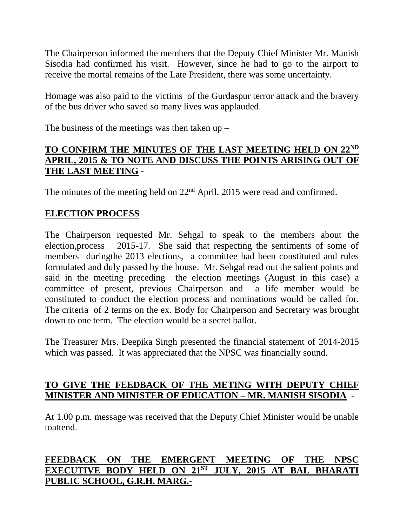The Chairperson informed the members that the Deputy Chief Minister Mr. Manish Sisodia had confirmed his visit. However, since he had to go to the airport to receive the mortal remains of the Late President, there was some uncertainty.

Homage was also paid to the victims of the Gurdaspur terror attack and the bravery of the bus driver who saved so many lives was applauded.

The business of the meetings was then taken  $up -$ 

#### **TO CONFIRM THE MINUTES OF THE LAST MEETING HELD ON 22ND APRIL, 2015 & TO NOTE AND DISCUSS THE POINTS ARISING OUT OF THE LAST MEETING** -

The minutes of the meeting held on 22<sup>nd</sup> April, 2015 were read and confirmed.

### **ELECTION PROCESS** –

The Chairperson requested Mr. Sehgal to speak to the members about the election,process 2015-17. She said that respecting the sentiments of some of members duringthe 2013 elections, a committee had been constituted and rules formulated and duly passed by the house. Mr. Sehgal read out the salient points and said in the meeting preceding the election meetings (August in this case) a committee of present, previous Chairperson and a life member would be constituted to conduct the election process and nominations would be called for. The criteria of 2 terms on the ex. Body for Chairperson and Secretary was brought down to one term. The election would be a secret ballot.

The Treasurer Mrs. Deepika Singh presented the financial statement of 2014-2015 which was passed. It was appreciated that the NPSC was financially sound.

### **TO GIVE THE FEEDBACK OF THE METING WITH DEPUTY CHIEF MINISTER AND MINISTER OF EDUCATION – MR. MANISH SISODIA** -

At 1.00 p.m. message was received that the Deputy Chief Minister would be unable toattend.

## **FEEDBACK ON THE EMERGENT MEETING OF THE NPSC EXECUTIVE BODY HELD ON 21ST JULY, 2015 AT BAL BHARATI PUBLIC SCHOOL, G.R.H. MARG.-**